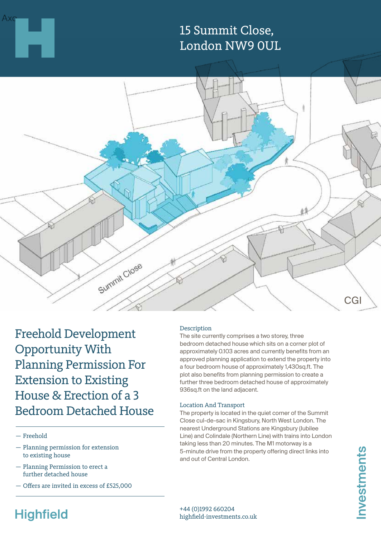# 15 Summit Close, London NW9 0UL



Freehold Development Opportunity With Planning Permission For Extension to Existing House & Erection of a 3 Bedroom Detached House

- Freehold
- Planning permission for extension to existing house
- Planning Permission to erect a further detached house
- Offers are invited in excess of £525,000

#### Description

The site currently comprises a two storey, three bedroom detached house which sits on a corner plot of approximately 0.103 acres and currently benefits from an approved planning application to extend the property into a four bedroom house of approximately 1,430sq.ft. The plot also benefits from planning permission to create a further three bedroom detached house of approximately 936sq.ft on the land adjacent.

#### Location And Transport

The property is located in the quiet corner of the Summit Close cul-de-sac in Kingsbury, North West London. The nearest Underground Stations are Kingsbury (Jubilee Line) and Colindale (Northern Line) with trains into London taking less than 20 minutes. The M1 motorway is a 5-minute drive from the property offering direct links into and out of Central London.

# **Highfield**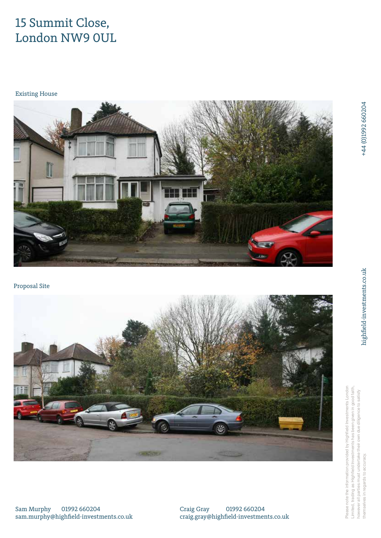# 15 Summit Close, London NW9 0UL

Existing House



Proposal Site



Please note the information provided by Highfield Investments London Limited, trading as Highfield Investments has been given in good faith, Please note the information provided by Highfield Investments Londor limited, trading as Highfield Investments has been given in good faith however all parties must undertake their own due diligence to satisfy ever all parties must undertake their own due diligence to satisfy themselves in regards to accuracy. selves in regards to accuracy

Sam Murphy 01992 660204 sam.murphy@highfield-investments.co.uk Craig Gray 01992 660204 craig.gray@highfield-investments.co.uk